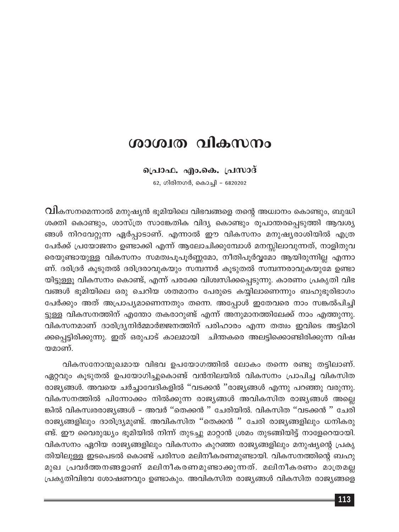# ശാശ്വത വികസനം

#### പ്രൊഫ. എം.കെ. പ്രസാദ്

62, ഗിരിനഗർ, കൊച്ചി – 6820202

 $\, {\Omega}$ ികസനമെന്നാൽ മനുഷ്യൻ ഭൂമിയിലെ വിഭവങ്ങളെ തന്റെ അധ്വാനം കൊണ്ടും, ബുദ്ധി ശക്തി കൊണ്ടും, ശാസ്ത്ര സാങ്കേതിക വിദ്യ കൊണ്ടും രൂപാന്തരപ്പെടുത്തി ആവശ്യ ങ്ങൾ നിറവേറ്റുന്ന ഏർപ്പാടാണ്. എന്നാൽ ഈ വികസനം മനുഷ്യരാശിയിൽ എത്ര പേർക്ക് പ്രയോജനം ഉണ്ടാക്കി എന്ന് ആലോചിക്കുമ്പോൾ മനസ്സിലാവുന്നത്, നാളിതുവ രെയുണ്ടായുള്ള വികസനം സമത്വപൂപൂർണ്ണമോ, നീതിപൂർവ്വമോ ആയിരുന്നില്ല എന്നാ ണ്. ദരിദ്രർ കൂടുതൽ ദരിദ്രരാവുകയും സമ്പന്നർ കൂടുതൽ സമ്പന്നരാവുകയുമേ ഉണ്ടാ യിട്ടുള്ളൂ വികസനം കൊണ്ട്, എന്ന് പരക്കേ വിശ്വസിക്കപ്പെടുന്നു. കാരണം പ്രകൃതി വിഭ വങ്ങൾ ഭൂമിയിലെ ഒരു ചെറിയ ശതമാനം പേരുടെ കയ്യിലാണെന്നും ബഹുഭൂരിഭാഗം പേർക്കും അത് അപ്രാപ്യമാണെന്നതും തന്നെ. അപ്പോൾ ഇതേവരെ നാം സങ്കൽപിച്ചി ട്ടുള്ള വികസനത്തിന് എന്തോ തകരാറുണ്ട് എന്ന് അനുമാനത്തിലേക്ക് നാം എത്തുന്നു. വികസനമാണ് ദാരിദ്ര്യനിർമ്മാർജ്ജനത്തിന് പരിഹാരം എന്ന തത്വം ഇവിടെ അട്ടിമറി ക്കപ്പെട്ടിരിക്കുന്നു. ഇത് ഒരുപാട് കാലമായി ചിന്തകരെ അലട്ടിക്കൊണ്ടിരിക്കുന്ന വിഷ യമാണ്.

വികസനോന്മുഖമായ വിഭവ ഉപയോഗത്തിൽ ലോകം തന്നെ രണ്ടു തട്ടിലാണ്. ഏറ്റവും കൂടുതൽ ഉപയോഗിച്ചുകൊണ്ട് വൻനിലയിൽ വികസനം പ്രാപിച്ച വികസിത രാജ്യങ്ങൾ. അവയെ ചർച്ചാവേദികളിൽ ''വടക്കൻ ''രാജ്യങ്ങൾ എന്നു പറഞ്ഞു വരുന്നു. വികസനത്തിൽ പിന്നോക്കം നിൽക്കുന്ന രാജ്യങ്ങൾ അവികസിത രാജ്യങ്ങൾ അല്ലെ ങ്കിൽ വികസ്വരരാജ്യങ്ങൾ - അവർ ''തെക്കൻ '' ചേരിയിൽ. വികസിത ''വടക്കൻ '' ചേരി രാജ്യങ്ങളിലും ദാരിദ്ര്യമുണ്ട്. അവികസിത ''തെക്കൻ '' ചേരി രാജ്യങ്ങളിലും ധനികരു ണ്ട്. ഈ വൈരുദ്ധ്യം ഭൂമിയിൽ നിന്ന് തുടച്ചു മാറ്റാൻ ശ്രമം തുടങ്ങിയിട്ട് നാളേറെയായി. വികസനം ഏറിയ രാജ്യങ്ങളിലും വികസനം കുറഞ്ഞ രാജ്യങ്ങളിലും മനുഷ്യന്റെ പ്രകൃ തിയിലുള്ള ഇടപെടൽ കൊണ്ട് പരിസര മലിനീകരണമുണ്ടായി. വികസനത്തിന്റെ ബഹു മുഖ പ്രവർത്തനങ്ങളാണ് മലിനീകരണമുണ്ടാക്കുന്നത്. മലിനീകരണം മാത്രമല്ല പ്രകൃതിവിഭവ ശോഷണവും ഉണ്ടാകും. അവികസിത രാജ്യങ്ങൾ വികസിത രാജ്യങ്ങളെ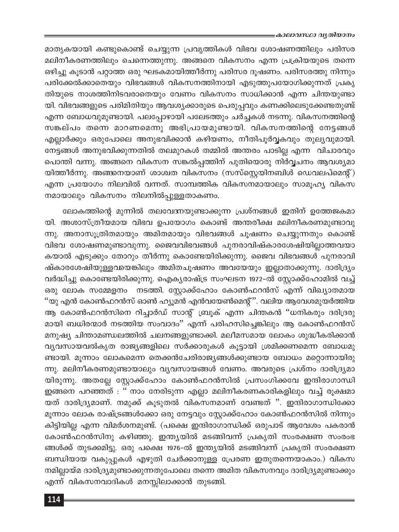#### ≡കാലാവസ്ഥാ വൃതിയാനം

മാതൃകയായി കണ്ടുകൊണ്ട് ചെയ്യുന്ന പ്രവൃത്തികൾ വിഭവ ശോഷണത്തിലും പരിസര മലിനീകരണത്തിലും ചെന്നെത്തുന്നു. അങ്ങനെ വികസനം എന്ന പ്രക്രിയയുടെ തന്നെ ഒഴിച്ചു കൂടാൻ പറ്റാത്ത ഒരു ഘടകമായിത്തീർന്നു പരിസര ദൂഷണം. പരിസരത്തു നിന്നും പരിക്കേൽക്കാതെയും വിഭവങ്ങൾ വികസനത്തിനായി എടുത്തുപയോഗിക്കുന്നത് പ്രകൃ തിയുടെ നാശത്തിനിടവരാതെയും വേണം വികസനം സാധിക്കാൻ എന്ന ചിന്തയുണ്ടാ യി. വിഭവങ്ങളുടെ പരിമിതിയും ആവശ്യക്കാരുടെ പെരുപ്പവും കണക്കിലെടുക്കേണ്ടതുണ്ട് എന്ന ബോധവുമുണ്ടായി. പലപ്പോഴായി പലേടത്തും ചർച്ചകൾ നടന്നു. വികസനത്തിന്റെ സങ്കല്പം തന്നെ മാറണമെന്നു അഭിപ്രായമുണ്ടായി. വികസനത്തിന്റെ നേട്ടങ്ങൾ എല്ലാർക്കും ഒരുപോലെ അനുഭവിക്കാൻ കഴിയണം, നീതിപൂർവ്വകവും തുല്യവുമായി. നേട്ടങ്ങൾ അനുഭവിക്കുന്നതിൽ തലമുറകൾ തമ്മിൽ അന്തരം പാടില്ല എന്ന വിചാരവും പൊന്തി വന്നു. അങ്ങനെ വികസന സങ്കൽപ്പത്തിന് പുതിയൊരു നിർവ്വചനം ആവശ്യമാ യിത്തീർന്നു. അങ്ങനെയാണ് ശാശ്വത വികസനം (സസ്സ്റ്റെയിനബിൾ ഡെവലപ്മെന്റ്) എന്ന പ്രയോഗം നിലവിൽ വന്നത്. സാമ്പത്തിക വികസനമായാലും സാമൂഹ്യ വികസ നമായാലും വികസനം നിലനിൽപ്പുള്ളതാകണം.

ലോകത്തിന്റെ മുന്നിൽ തലവേദനയുണ്ടാക്കുന്ന പ്രശ്നങ്ങൾ ഇതിന് ഉത്തേജകമാ യി. അശാസ്ത്രീയമായ വിഭവ ഉപയോഗം കൊണ്ട് അന്തരീക്ഷ മലിനീകരണമുണ്ടാവു ന്നു. അനാസൂത്രിതമായും അമിതമായും വിഭവങ്ങൾ ചൂഷണം ചെയ്യുന്നതും കൊണ്ട് വിഭവ ശോഷണമുണ്ടാവുന്നു. ജൈവവിഭവങ്ങൾ പുനരാവിഷ്കാരശേഷിയില്ലാത്തവയാ കയാൽ എടുക്കും തോറും തീർന്നു കൊണ്ടേയിരിക്കുന്നു. ജൈവ വിഭവങ്ങൾ പുനരാവി ഷ്കാരശേഷിയുള്ളവയെങ്കിലും അമിതചൂഷണം അവയേയും ഇല്ലാതാക്കുന്നു. ദാരിദ്ര്യം വർദ്ധിച്ചു കൊണ്ടേയിരിക്കുന്നു. ഐക്യരാഷ്ട്ര സംഘടന 1972-ൽ സ്റ്റോക്ക്ഹോമിൽ വച്ച് ഒരു ലോക സമ്മേളനം നടത്തി. സ്റ്റോക്ക്ഹോം കോൺഫറൻസ് എന്ന് വിഖ്യാതമായ ''യു എൻ കോൺഫറൻസ് ഓൺ ഹ്യൂമൻ എൻവയേൺമെന്റ്''. വലിയ ആവേശമുയർത്തിയ ആ കോൺഫറൻസിനെ റിച്ചാർഡ് സാന്റ് ബ്രൂക് എന്ന ചിന്തകൻ ''ധനികരും ദരിദ്രരു മായി ബധിരന്മാർ നടത്തിയ സംവാദം'' എന്ന് പരിഹസിച്ചെങ്കിലും ആ കോൺഫറൻസ് മനുഷ്യ ചിന്താമണ്ഡലത്തിൽ ചലനങ്ങളുണ്ടാക്കി. മലീമസമായ ലോകം ശുദ്ധീകരിക്കാൻ വ്യവസായവൽകൃത രാജ്യങ്ങളിലെ സർക്കാരുകൾ കൂട്ടായി ശ്രമിക്കണമെന്ന ബോധമു ണ്ടായി. മൂന്നാം ലോകമെന്ന തെക്കൻചേരിരാജ്യങ്ങൾക്കുണ്ടായ ബോധം മറ്റൊന്നായിരു ന്നു. മലിനീകരണമുണ്ടായാലും വ്യവസായങ്ങൾ വേണം. അവരുടെ പ്രശ്നം ദാരിദ്ര്യമാ യിരുന്നു. അതല്ലേ സ്റ്റോക്ക്ഹോം കോൺഫറൻസിൽ പ്രസംഗിക്കവേ ഇന്ദിരാഗാന്ധി ഇങ്ങനെ പറഞ്ഞത് : '' നാം നേരിടുന്ന എല്ലാ മലിനീകരണകാരികളിലും വച്ച് രൂക്ഷമാ യത് ദാരിദ്ര്യമാണ്. നമുക്ക് കൂടുതൽ വികസനമാണ് വേണ്ടത് ". ഇന്ദിരാഗാന്ധിക്കോ മൂന്നാം ലോക രാഷ്ട്രങ്ങൾക്കോ ഒരു നേട്ടവും സ്റ്റോക്ക്ഹോം കോൺഫറൻസിൽ നിന്നും കിട്ടിയില്ല എന്ന വിമർശനമുണ്ട്. (പക്ഷെ ഇന്ദിരാഗാന്ധിക്ക് ഒരുപാട് ആവേശം പകരാൻ കോൺഫറൻസിനു കഴിഞ്ഞു. ഇന്ത്യയിൽ മടങ്ങിവന്ന് പ്രകൃതി സംരക്ഷണ സംരംഭ ങ്ങൾക്ക് തുടക്കമിട്ടു. ഒരു പക്ഷെ 1976-ൽ ഇന്ത്യയിൽ മടങ്ങിവന്ന് പ്രകൃതി സംരക്ഷണ ബന്ധിയായ വകുപ്പുകൾ എഴുതി ചേർക്കാനുള്ള പ്രേരണ ഇതുതന്നെയാകാം.) വികസ നമില്ലായ്മ ദാരിദ്ര്യമുണ്ടാക്കുന്നതുപോലെ തന്നെ അമിത വികസനവും ദാരിദ്ര്യമുണ്ടാക്കും എന്ന് വികസനവാദികൾ മനസ്സിലാക്കാൻ തുടങ്ങി.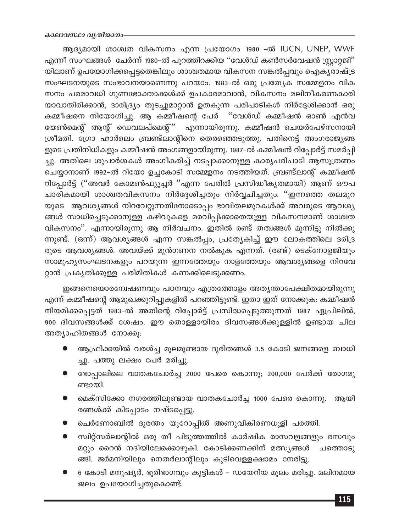ആദ്യമായി ശാശ്വത വികസനം എന്ന പ്രയോഗം 1980 -ൽ IUCN, UNEP, WWF എന്നീ സംഘങ്ങൾ ചേർന്ന് 1980-ൽ പുറത്തിറക്കിയ ''വേൾഡ് കൺസർവേഷൻ സ്റ്റ്രാറ്റജി'' യിലാണ് ഉപയോഗിക്കപ്പെട്ടതെങ്കിലും ശാശ്വതമായ വികസന സങ്കൽപ്പവും ഐക്യരാഷ്ട്ര സംഘടനയുടെ സംഭാവനയാണെന്നു പറയാം. 1983-ൽ ഒരു പ്രത്യേക സമ്മേളനം വിക സനം പരമാവധി ഗുണഭോക്താക്കൾക്ക് ഉപകാരമാവാൻ, വികസനം മലിനീകരണകാരി യാവാതിരിക്കാൻ, ദാരിദ്ര്യം തുടച്ചുമാറ്റാൻ ഉതകുന്ന പരിപാടികൾ നിർദ്ദേശിക്കാൻ ഒരു കമ്മീഷനെ നിയോഗിച്ചു. ആ കമ്മീഷന്റെ പേര് ''വേൾഡ് കമ്മീഷൻ ഓൺ എൻവ യേൺമെന്റ് ആന്റ് ഡെവലപ്മെന്റ്'' എന്നായിരുന്നു. കമ്മീഷൻ ചെയർപേഴ്സനായി ശ്രീമതി. ഗ്രോ ഹാർലെം ബ്രണ്ട്ലാന്റിനെ തെരഞ്ഞെടുത്തു. പതിനെട്ട് അംഗരാജ്യങ്ങ ളുടെ പ്രതിനിധികളും കമ്മീഷൻ അംഗങ്ങളായിരുന്നു. 1987-ൽ കമ്മീഷൻ റിപ്പോർട്ട് സമർപ്പി ച്ചു. അതിലെ ശുപാർശകൾ അംഗീകരിച്ച് നടപ്പാക്കാനുള്ള കാര്യപരിപാടി ആസൂത്രണം ചെയ്യാനാണ് 1992-ൽ റിയോ ഉച്ചകോടി സമ്മേളനം നടത്തിയത്. ബ്രണ്ട്ലാന്റ് കമ്മീഷൻ റിപ്പോർട്ട് (''അവർ കോമൺഫ്യൂച്ചർ ''എന്ന പേരിൽ പ്രസിദ്ധീകൃതമായി) ആണ് ഔപ ചാരികമായി ശാശ്വതവികസനം നിർദ്ദേശിച്ചതും നിർവ്വചിച്ചതും. "ഇന്നത്തെ തലമുറ യുടെ ആവശ്യങ്ങൾ നിറവേറ്റുന്നതിനോടൊപ്പം ഭാവിതലമുറകൾക്ക് അവരുടെ ആവശ്യ ങ്ങൾ സാധിച്ചെടുക്കാനുള്ള കഴിവുകളെ മരവിപ്പിക്കാതെയുള്ള വികസനമാണ് ശാശ്വത വികസനം''. എന്നായിരുന്നു ആ നിർവചനം. ഇതിൽ രണ്ട് തത്വങ്ങൾ മുന്നിട്ടു നിൽക്കു ന്നുണ്ട്. (ഒന്ന്) ആവശ്യങ്ങൾ എന്ന സങ്കൽപ്പം, പ്രത്യേകിച്ച് ഈ ലോകത്തിലെ ദരിദ്ര രുടെ ആവശ്യങ്ങൾ. അവയ്ക്ക് മുൻഗണന നൽകുക എന്നത്. (രണ്ട്) ടെക്നോളജിയും സാമൂഹ്യസംഘടനകളും പറയുന്ന ഇന്നത്തേയും നാളത്തേയും ആവശ്യങ്ങളെ നിറവേ റ്റാൻ പ്രകൃതിക്കുള്ള പരിമിതികൾ കണക്കിലെടുക്കണം.

ഇങ്ങനെയൊരന്വേഷണവും പഠനവും എത്രത്തോളം അതൃന്താപേക്ഷിതമായിരുന്നു എന്ന് കമ്മീഷന്റെ ആമുഖക്കുറിപ്പുകളിൽ പറഞ്ഞിട്ടുണ്ട്. ഇതാ ഇത് നോക്കുക: കമ്മീഷൻ നിയമിക്കപ്പെട്ടത് 1983-ൽ അതിന്റെ റിപ്പോർട്ട് പ്രസിദ്ധപ്പെടുത്തുന്നത് 1987 ഏപ്രിലിൽ, 900 ദിവസങ്ങൾക്ക് ശേഷം. ഈ തൊള്ളായിരം ദിവസങ്ങൾക്കുള്ളിൽ ഉണ്ടായ ചില അത്യാഹിതങ്ങൾ നോക്കൂ:

- ആഫ്രിക്കയിൽ വരൾച്ച മൂലമുണ്ടായ ദുരിതങ്ങൾ 3.5 കോടി ജനങ്ങളെ ബാധി ച്ചു. പത്തു ലക്ഷം പേർ മരിച്ചു.
- ഭോപ്പാലിലെ വാതകചോർച്ച 2000 പേരെ കൊന്നു; 200,000 പേർക്ക് രോഗമു ണ്ടായി.
- മെക്സിക്കോ നഗരത്തിലുണ്ടായ വാതകചോർച്ച 1000 പേരെ കൊന്നു. ആയി രങ്ങൾക്ക് കിടപ്പാടം നഷ്ടപ്പെട്ടു.
- ചെർണോബിൽ ദുരന്തം യൂറോപ്പിൽ അണുവികിരണധൂളി പരത്തി.
- സ്ഥിറ്റ്സർലാന്റിൽ ഒരു തീ പിടുത്തത്തിൽ കാർഷിക രാസവളങ്ങളും രസവും മറ്റും റൈൻ നദിയിലേക്കൊഴുകി. കോടിക്കണക്കിന് മത്സ്യങ്ങൾ ചത്തൊടു ങ്ങി. ജർമനിയിലും നെതർലാന്റിലും കുടിവെള്ളക്ഷാമം നേരിട്ടു.
- 6 കോടി മനുഷ്യർ, ഭൂരിഭാഗവും കുട്ടികൾ ഡയേറിയ മൂലം മരിച്ചു. മലിനമായ ജലം ഉപയോഗിച്ചതുകൊണ്ട്.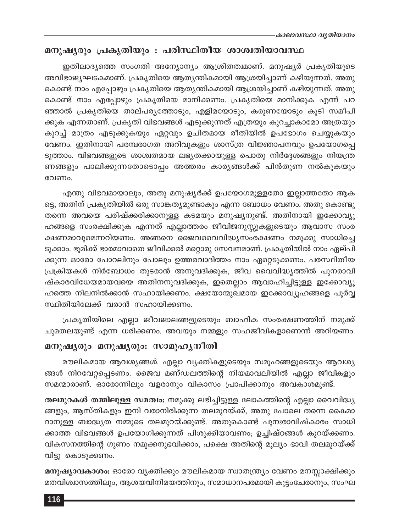### മനുഷ്യരും പ്രകൃതിയും : പരിസ്ഥിതീയ ശാശ്വതിയാവസ്ഥ

ഇതിലാദ്യത്തെ സംഗതി അന്യോന്യം ആശ്രിതത്വമാണ്. മനുഷ്യർ പ്രകൃതിയുടെ അവിഭാജ്യഘടകമാണ്. പ്രകൃതിയെ ആത്യന്തികമായി ആശ്രയിച്ചാണ് കഴിയുന്നത്. അതു കൊണ്ട് നാം എപ്പോഴും പ്രകൃതിയെ ആതൃന്തികമായി ആശ്രയിച്ചാണ് കഴിയുന്നത്. അതു കൊണ്ട് നാം എപ്പോഴും പ്രകൃതിയെ മാനിക്കണം. പ്രകൃതിയെ മാനിക്കുക എന്ന് പറ ഞ്ഞാൽ പ്രകൃതിയെ താല്പര്യത്തോടും, എളിമയോടും, കരുണയോടും കൂടി സമീപി ക്കുക എന്നതാണ്. പ്രകൃതി വിഭവങ്ങൾ എടുക്കുന്നത് എത്രയും കുറച്ചാകാമോ അത്രയും കുറച്ച് മാത്രം എടുക്കുകയും ഏറ്റവും ഉചിതമായ രീതിയിൽ ഉപഭോഗം ചെയ്യുകയും വേണം. ഇതിനായി പരമ്പരാഗത അറിവുകളും ശാസ്ത്ര വിജ്ഞാപനവും ഉപയോഗപ്പെ ടുത്താം. വിഭവങ്ങളുടെ ശാശ്വതമായ ലഭ്യതക്കായുള്ള പൊതു നിർദ്ദേശങ്ങളും നിയന്ത്ര ണങ്ങളും പാലിക്കുന്നതോടൊപ്പം അത്തരം കാര്യങ്ങൾക്ക് പിൻതുണ നൽകുകയും വേണം.

എന്തു വിഭവമായാലും, അതു മനുഷ്യർക്ക് ഉപയോഗമുള്ളതോ ഇല്ലാത്തതോ ആക ട്ടെ, അതിന് പ്രകൃതിയിൽ ഒരു സാങ്കത്യമുണ്ടാകും എന്ന ബോധം വേണം. അതു കൊണ്ടു തന്നെ അവയെ പരിഷ്ക്കരിക്കാനുള്ള കടമയും മനുഷ്യനുണ്ട്. അതിനായി ഇക്കോവ്യൂ ഹങ്ങളെ സംരക്ഷിക്കുക എന്നത് എല്ലാത്തരം ജീവിജനുസ്സുകളുടെയും ആവാസ സംര ക്ഷണമാവുമെന്നറിയണം. അങ്ങനെ ജൈവവൈവിദ്ധ്യസംരക്ഷണം നമുക്കു സാധിച്ചെ ടുക്കാം. ഭൂമിക്ക് ഭാരമാവാതെ ജീവിക്കൽ മറ്റൊരു സേവനമാണ്. പ്രകൃതിയിൽ നാം ഏല്പി ക്കുന്ന ഓരോ പോറലിനും പോലും ഉത്തരവാദിത്തം നാം ഏറ്റെടുക്കണം. പരസ്ഥിതീയ പ്രക്രിയകൾ നിർബോധം തുടരാൻ അനുവദിക്കുക, ജീവ വൈവിദ്ധ്യത്തിൽ പുനരാവി ഷ്കാരവിധേയമായവയെ അതിനനുവദിക്കുക, ഇതെല്ലാം ആവാഹിച്ചിട്ടുള്ള ഇക്കോവ്യൂ ഹത്തെ നിലനിൽക്കാൻ സഹായിക്കണം. ക്ഷയോന്മുഖമായ ഇക്കോവ്യൂഹങ്ങളെ പൂർവ്വ സ്ഥിതിയിലേക്ക് വരാൻ സഹായിക്കണം.

പ്രകൃതിയിലെ എല്ലാ ജീവജാലങ്ങളുടെയും ബാഹിക സംരക്ഷണത്തിന് നമുക്ക് ചുമതലയുണ്ട് എന്ന ധരിക്കണം. അവയും നമ്മളും സഹജീവികളാണെന്ന് അറിയണം.

#### മനുഷ്യരും മനുഷ്യരും: സാമൂഹ്യനീതി

മൗലികമായ ആവശ്യങ്ങൾ. എല്ലാ വ്യക്തികളുടെയും സമൂഹങ്ങളുടെയും ആവശ്യ ങ്ങൾ നിറവേറ്റപ്പെടണം. ജൈവ മണ്ഡലത്തിന്റെ നിയമാവലിയിൽ എല്ലാ ജീവികളും സമന്മാരാണ്. ഓരോന്നിലും വളരാനും വികാസം പ്രാപിക്കാനും അവകാശമുണ്ട്.

തലമുറകൾ തമ്മിലുള്ള സമത്വം: നമുക്കു ലഭിച്ചിട്ടുള്ള ലോകത്തിന്റെ എല്ലാ വൈവിദ്ധ്യ ങ്ങളും, ആസ്തികളും ഇനി വരാനിരിക്കുന്ന തലമുറയ്ക്ക്, അതു പോലെ തന്നെ കൈമാ റാനുള്ള ബാദ്ധ്യത നമ്മുടെ തലമുറയ്ക്കുണ്ട്. അതുകൊണ്ട് പുനഃരാവിഷ്കാരം സാധി ക്കാത്ത വിഭവങ്ങൾ ഉപയോഗിക്കുന്നത് പിശുക്കിയാവണം; ഉച്ചിഷ്ഠങ്ങൾ കുറയ്ക്കണം. വികസനത്തിന്റെ ഗുണം നമുക്കനുഭവിക്കാം, പക്ഷെ അതിന്റെ മൂല്യം ഭാവി തലമുറയ്ക്ക് വിട്ടു കൊടുക്കണം.

മനുഷ്യാവകാശം: ഓരോ വ്യക്തിക്കും മൗലികമായ സ്വാതന്ത്ര്യം വേണം മനസ്സാക്ഷിക്കും മതവിശ്വാസത്തിലും, ആശയവിനിമയത്തിനും, സമാധാനപരമായി കൂട്ടംചേരാനും, സംഘ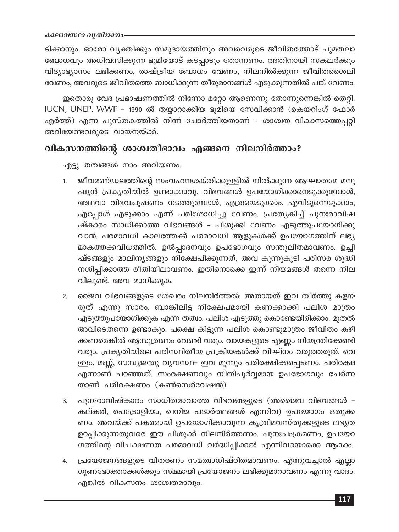ടിക്കാനും. ഓരോ വ്യക്തിക്കും സമുദായത്തിനും അവരവരുടെ ജീവിതത്തോട് ചുമതലാ ബോധവും അധിവസിക്കുന്ന ഭൂമിയോട് കടപ്പാടും തോന്നണം. അതിനായി സകലർക്കും വിദ്യാഭ്യാസം ലഭിക്കണം, രാഷ്ട്രീയ ബോധം വേണം, നിലനിൽക്കുന്ന ജീവിതശൈലി വേണം, അവരുടെ ജീവിതത്തെ ബാധിക്കുന്ന തീരുമാനങ്ങൾ എടുക്കുന്നതിൽ പങ്ക് വേണം.

ഇതൊരു വേദ പ്രഭാഷണത്തിൽ നിന്നോ മറ്റോ ആണെന്നു തോന്നുന്നെങ്കിൽ തെറ്റി. IUCN, UNEP, WWF - 1990 ൽ തയ്യാറാക്കിയ ഭൂമിയെ സേവിക്കാൻ (കെയറിംഗ് ഫോർ എർത്ത്) എന്ന പുസ്തകത്തിൽ നിന്ന് ചോർത്തിയതാണ് - ശാശ്വത വികാസത്തെപ്പറ്റി അറിയേണ്ടവരുടെ വായനയ്ക്ക്.

### വികസനത്തിന്റെ ശാശ്വതീഭാവം എങ്ങനെ നിലനിർത്താം?

എട്ടു തത്വങ്ങൾ നാം അറിയണം.

- ജീവമണ്ഡലത്തിന്റെ സംവഹനശക്തിക്കുള്ളിൽ നിൽക്കുന്ന ആഘാതമേ മനു  $1.$ ഷ്യൻ പ്രകൃതിയിൽ ഉണ്ടാക്കാവൂ. വിഭവങ്ങൾ ഉപയോഗിക്കാനെടുക്കുമ്പോൾ, അഥവാ വിഭവചൂഷണം നടത്തുമ്പോൾ, എത്രയെടുക്കാം, എവിടുന്നെടുക്കാം, എപ്പോൾ എടുക്കാം എന്ന് പരിശോധിച്ചു വേണം. പ്രത്യേകിച്ച് പുനഃരാവിഷ ഷ്കാരം സാധിക്കാത്ത വിഭവങ്ങൾ - പിശുക്കി വേണം എടുത്തുപയോഗിക്കു വാൻ. പരമാവധി കാലത്തേക്ക് പരമാവധി ആളുകൾക്ക് ഉപയോഗത്തിന് ലഭ്യ മാകത്തക്കവിധത്തിൽ. ഉൽപ്പാദനവും ഉപഭോഗവും സന്തുലിതമാവണം. ഉച്ചി ഷ്ടങ്ങളും മാലിന്യങ്ങളും നിക്ഷേപിക്കുന്നത്, അവ കുന്നുകൂടി പരിസര ശുദ്ധി നശിപ്പിക്കാത്ത രീതിയിലാവണം. ഇതിനൊക്കെ ഇന്ന് നിയമങ്ങൾ തന്നെ നില വിലുണ്ട്. അവ മാനിക്കുക.
- ജൈവ വിഭവങ്ങളുടെ ശേഖരം നിലനിർത്തൽ: അതായത് ഇവ തീർത്തു കളയ  $2.$ രുത് എന്നു സാരം. ബാങ്കിലിട്ട നിക്ഷേപമായി കണക്കാക്കി പലിശ മാത്രം എടുത്തുപയോഗിക്കുക എന്ന തത്വം. പലിശ എടുത്തു കൊണ്ടേയിരിക്കാം. മുതൽ അവിടെതന്നെ ഉണ്ടാകും. പക്ഷെ കിട്ടുന്ന പലിശ കൊണ്ടുമാത്രം ജീവിതം കഴി ക്കണമെങ്കിൽ ആസൂത്രണം വേണ്ടി വരും. വായകളുടെ എണ്ണം നിയന്ത്രിക്കേണ്ടി വരും. പ്രകൃതിയിലെ പരിസ്ഥിതീയ പ്രക്രിയകൾക്ക് വിഘ്നം വരുത്തരുത്. വെ ള്ളം, മണ്ണ്, സസ്യജന്തു വ്യവസ്ഥ– ഇവ മൂന്നും പരിരക്ഷിക്കപ്പെടണം. പരിരക്ഷ എന്നാണ് പറഞ്ഞത്. സംരക്ഷണവും നീതിപൂർവ്വമായ ഉപഭോഗവും ചേർന്ന താണ് പരിരക്ഷണം (കൺസെർവേഷൻ)
- പുനഃരാവിഷ്കാരം സാധിതമാവാത്ത വിഭവങ്ങളുടെ (അജൈവ വിഭവങ്ങൾ -3. കല്കരി, പെട്രോളിയം, ഖനിജ പദാർത്ഥങ്ങൾ എന്നിവ) ഉപയോഗം ഒതുക്ക ണം. അവയ്ക്ക് പകരമായി ഉപയോഗിക്കാവുന്ന കൃത്രിമവസ്തുക്കളുടെ ലഭ്യത ഉറപ്പിക്കുന്നതുവരെ ഈ പിശുക്ക് നിലനിർത്തണം. പുനഃചംക്രമണം, ഉപയോ ഗത്തിന്റെ വിചക്ഷണത പരമാവധി വർദ്ധിപ്പിക്കൽ എന്നിവയൊക്കെ ആകാം.
- പ്രയോജനങ്ങളുടെ വിതരണം സമത്വാധിഷ്ഠിതമാവണം. എന്നുവച്ചാൽ എല്ലാ  $4.$ ഗുണഭോക്താക്കൾക്കും സമമായി പ്രയോജനം ലഭിക്കുമാറാവണം എന്നു വാദം. എങ്കിൽ വികസനം ശാശ്വതമാവും.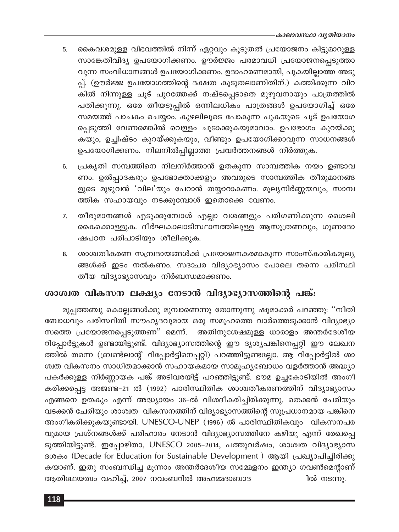- കൈവശമുള്ള വിഭവത്തിൽ നിന്ന് ഏറ്റവും കൂടുതൽ പ്രയോജനം കിട്ടുമാറുള്ള 5. സാങ്കേതിവിദ്യ ഉപയോഗിക്കണം. ഊർജ്ജം പരമാവധി പ്രയോജനപ്പെടുത്താ വുന്ന സംവിധാനങ്ങൾ ഉപയോഗിക്കണം. ഉദാഹരണമായി, പുകയില്ലാത്ത അടു പ്പ്. (ഊർജ്ജ ഉപയോഗത്തിന്റെ ദക്ഷത കൂടുതലാണിതിന്.) കത്തിക്കുന്ന വിറ കിൽ നിന്നുള്ള ചൂട് പുറത്തേക്ക് നഷ്ടപ്പെടാതെ മുഴുവനായും പാത്രത്തിൽ പതിക്കുന്നു. ഒരേ തീയടുപ്പിൽ ഒന്നിലധികം പാത്രങ്ങൾ ഉപയോഗിച്ച് ഒരേ സമയത്ത് പാചകം ചെയ്യാം. കുഴലിലൂടെ പോകുന്ന പുകയുടെ ചൂട് ഉപയോഗ പ്പെടുത്തി വേണമെങ്കിൽ വെള്ളം ചൂടാക്കുകയുമാവാം. ഉപഭോഗം കുറയ്ക്കു കയും, ഉച്ചിഷ്ടം കുറയ്ക്കുകയും, വീണ്ടും ഉപയോഗിക്കാവുന്ന സാധനങ്ങൾ ഉപയോഗിക്കണം. നിലനിൽപ്പില്ലാത്ത പ്രവർത്തനങ്ങൾ നിർത്തുക.
- പ്രകൃതി സമ്പത്തിനെ നിലനിർത്താൻ ഉതകുന്ന സാമ്പത്തിക നയം ഉണ്ടാവ 6. ണം. ഉൽപ്പാദകരും ഉപഭോക്താക്കളും അവരുടെ സാമ്പത്തിക തീരുമാനങ്ങ ളുടെ മുഴുവൻ 'വില'യും പേറാൻ തയ്യാറാകണം. മൂല്യനിർണ്ണയവും, സാമ്പ ത്തിക സഹായവും നടക്കുമ്പോൾ ഇതൊക്കെ വേണം.
- തീരുമാനങ്ങൾ എടുക്കുമ്പോൾ എല്ലാ വശങ്ങളും പരിഗണിക്കുന്ന ശൈലി  $7.$ കൈക്കൊള്ളുക. ദീർഘകാലാടിസ്ഥാനത്തിലുള്ള ആസൂത്രണവും, ഗുണദോ ഷപഠന പരിപാടിയും ശീലിക്കുക.
- ശാശ്വതീകരണ സമ്പ്രദായങ്ങൾക്ക് പ്രയോജനകരമാകുന്ന സാംസ്കാരികമൂല്യ 8. ങ്ങൾക്ക് ഇടം നൽകണം. സദാചര വിദ്യാഭ്യാസം പോലെ തന്നെ പരിസ്ഥി തീയ വിദ്യാഭ്യാസവും നിർബന്ധമാക്കണം.

## ശാശ്വത വികസന ലക്ഷ്യം നേടാൻ വിദ്യാഭ്യാസത്തിന്റെ പങ്ക്:

മുപ്പത്തഞ്ചു കൊല്ലങ്ങൾക്കു മുമ്പാണെന്നു തോന്നുന്നു ഷൂമാക്കർ പറഞ്ഞു: "നീതി ബോധവും പരിസ്ഥിതി സൗഹൃദവുമായ ഒരു സമൂഹത്തെ വാർത്തെടുക്കാൻ വിദ്യാഭ്യാ അതിനുശേഷമുള്ള ധാരാളം അന്തർദേശീയ സത്തെ പ്രയോജനപ്പെടുത്തണ'' മെന്ന്. റിപ്പോർട്ടുകൾ ഉണ്ടായിട്ടുണ്ട്. വിദ്യാഭ്യാസത്തിന്റെ ഈ ദൃശൃപങ്കിനെപ്പറ്റി ഈ ലേഖന ത്തിൽ തന്നെ (ബ്രണ്ട്ലാന്റ് റിപ്പോർട്ടിനെപ്പറ്റി) പറഞ്ഞിട്ടുണ്ടല്ലോ. ആ റിപ്പോർട്ടിൽ ശാ ശ്വത വികസനം സാധിതമാക്കാൻ സഹായകമായ സാമൂഹ്യബോധം വളർത്താൻ അദ്ധ്യാ പകർക്കുള്ള നിർണ്ണായക പങ്ക് അടിവരയിട്ട് പറഞ്ഞിട്ടുണ്ട്. ഭൗമ ഉച്ചകോടിയിൽ അംഗീ കരിക്കപ്പെട്ട അജണ്ട-21 ൽ (1992) പാരിസ്ഥിതിക ശാശ്വതീകരണത്തിന് വിദ്യാഭ്യാസം എങ്ങനെ ഉതകും എന്ന് അദ്ധ്യായം 36-ൽ വിശദീകരിച്ചിരിക്കുന്നു. തെക്കൻ ചേരിയും വടക്കൻ ചേരിയും ശാശ്വത വികസനത്തിന് വിദ്യാഭ്യാസത്തിന്റെ സുപ്രധാനമായ പങ്കിനെ അംഗീകരിക്കുകയുണ്ടായി. UNESCO-UNEP (1996) ൽ പാരിസ്ഥിതികവും വികസനപര വുമായ പ്രശ്നങ്ങൾക്ക് പരിഹാരം നേടാൻ വിദ്യാഭ്യാസത്തിനേ കഴിയൂ എന്ന് രേഖപ്പെ ടുത്തിയിട്ടുണ്ട്. ഇപ്പോഴിതാ, UNESCO 2005-2014, പത്തുവർഷം, ശാശ്വത വിദ്യാഭ്യാസ ദശകം (Decade for Education for Sustainable Development) ആയി പ്രഖ്യാപിച്ചിരിക്കു കയാണ്. ഇതു സംബന്ധിച്ച മൂന്നാം അന്തർദേശീയ സമ്മേളനം ഇന്ത്യാ ഗവൺമെന്റാണ് ആതിഥേയത്വം വഹിച്ച്, 2007 നവംബറിൽ അഹമ്മദാബാദ ിൽ നടന്നു.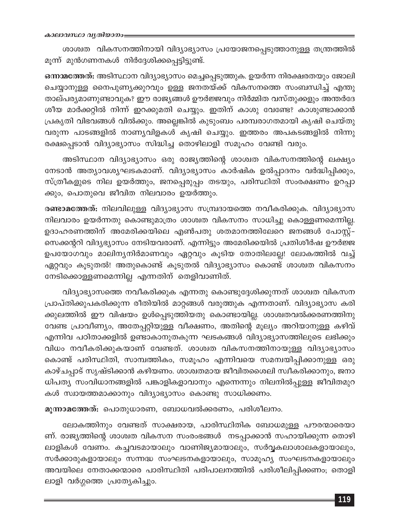ശാശ്വത വികസനത്തിനായി വിദ്യാഭ്യാസം പ്രയോജനപ്പെടുത്താനുള്ള തന്ത്രത്തിൽ മൂന്ന് മുൻഗണനകൾ നിർദ്ദേശിക്കപ്പെട്ടിട്ടുണ്ട്.

ഒന്നാമത്തേത്: അടിസ്ഥാന വിദ്യാഭ്യാസം മെച്ചപ്പെടുത്തുക. ഉയർന്ന നിരക്ഷരതയും ജോലി ചെയ്യാനുള്ള നൈപുണ്യക്കുറവും ഉള്ള ജനതയ്ക്ക് വികസനത്തെ സംബന്ധിച്ച് എന്തു താല്പര്യമാണുണ്ടാവുക? ഈ രാജ്യങ്ങൾ ഊർജ്ജവും നിർമ്മിത വസ്തുക്കളും അന്തർദേ ശീയ മാർക്കറ്റിൽ നിന്ന് ഇറക്കുമതി ചെയ്യും. ഇതിന് കാശു വേണ്ടേ? കാശുണ്ടാക്കാൻ പ്രകൃതി വിഭവങ്ങൾ വിൽക്കും. അല്ലെങ്കിൽ കുടുംബം പരമ്പരാഗതമായി കൃഷി ചെയ്തു വരുന്ന പാടങ്ങളിൽ നാണ്യവിളകൾ കൃഷി ചെയ്യും. ഇത്തരം അപകടങ്ങളിൽ നിന്നു രക്ഷപ്പെടാൻ വിദ്യാഭ്യാസം സിദ്ധിച്ച തൊഴിലാളി സമൂഹം വേണ്ടി വരും.

അടിസ്ഥാന വിദ്യാഭ്യാസം ഒരു രാജ്യത്തിന്റെ ശാശ്വത വികസനത്തിന്റെ ലക്ഷ്യം നേടാൻ അത്യാവശ്യഘടകമാണ്. വിദ്യാഭ്യാസം കാർഷിക ഉൽപ്പാദനം വർദ്ധിപ്പിക്കും, സ്ത്രീകളുടെ നില ഉയർത്തും, ജനപ്പെരുപ്പം തടയും, പരിസ്ഥിതി സംരക്ഷണം ഉറപ്പാ ക്കും, പൊതുവെ ജീവിത നിലവാരം ഉയർത്തും.

രണ്ടാമത്തേത്: നിലവിലുള്ള വിദ്യാഭ്യാസ സമ്പ്രദായത്തെ നവീകരിക്കുക. വിദ്യാഭ്യാസ നിലവാരം ഉയർന്നതു കൊണ്ടുമാത്രം ശാശ്വത വികസനം സാധിച്ചു കൊള്ളണമെന്നില്ല. ഉദാഹരണത്തിന് അമേരിക്കയിലെ എൺപതു ശതമാനത്തിലേറെ ജനങ്ങൾ പോസ്റ്റ്– സെക്കന്ററി വിദ്യഭ്യാസം നേടിയവരാണ്. എന്നിട്ടും അമേരിക്കയിൽ പ്രതിശീർഷ ഊർജ്ജ ഉപയോഗവും മാലിന്യനിർമാണവും ഏറ്റവും കൂടിയ തോതിലല്ലേ! ലോകത്തിൽ വച്ച് ഏറ്റവും കൂടുതൽ! അതുകൊണ്ട് കൂടുതൽ വിദ്യാഭ്യാസം കൊണ്ട് ശാശ്വത വികസനം നേടിക്കൊള്ളണമെന്നില്ല എന്നതിന് തെളിവാണിത്.

വിദ്യാഭ്യാസത്തെ നവീകരിക്കുക എന്നതു കൊണ്ടുദ്ദേശിക്കുന്നത് ശാശ്വത വികസന പ്രാപ്തിക്കുപകരിക്കുന്ന രീതിയിൽ മാറ്റങ്ങൾ വരുത്തുക എന്നതാണ്. വിദ്യാഭ്യാസ കരി ക്കുലത്തിൽ ഈ വിഷയം ഉൾപ്പെടുത്തിയതു കൊണ്ടായില്ല. ശാശ്വതവൽക്കരണത്തിനു വേണ്ട പ്രാവീണ്യം, അതേപ്പറ്റിയുള്ള വീക്ഷണം, അതിന്റെ മൂല്യം അറിയാനുള്ള കഴിവ് എന്നിവ പഠിതാക്കളിൽ ഉണ്ടാകാനുതകുന്ന ഘടകങ്ങൾ വിദ്യാഭ്യാസത്തിലുടെ ലഭിക്കും വിധം നവീകരിക്കുകയാണ് വേണ്ടത്. ശാശ്വത വികസനത്തിനായുള്ള വിദ്യാഭ്യാസം കൊണ്ട് പരിസ്ഥിതി, സാമ്പത്തികം, സമൂഹം എന്നിവയെ സമമ്പയിപ്പിക്കാനുള്ള ഒരു കാഴ്ചപ്പാട് സൃഷ്ടിക്കാൻ കഴിയണം. ശാശ്വതമായ ജീവിതശൈലി സ്വീകരിക്കാനും, ജനാ ധിപത്യ സംവിധാനങ്ങളിൽ പങ്കാളികളാവാനും എന്നെന്നും നിലനിൽപ്പുള്ള ജീവിതമുറ കൾ സ്വായത്തമാക്കാനും വിദ്യാഭ്യാസം കൊണ്ടു സാധിക്കണം.

മൂന്നാമത്തേത്: പൊതുധാരണ, ബോധവൽക്കരണം, പരിശീലനം.

ലോകത്തിനും വേണ്ടത് സാക്ഷരായ, പാരിസ്ഥിതിക ബോധമുള്ള പൗരന്മാരെയാ ണ്. രാജ്യത്തിന്റെ ശാശ്വത വികസന സംരംഭങ്ങൾ നടപ്പാക്കാൻ സഹായിക്കുന്ന തൊഴി ലാളികൾ വേണം. കച്ചവടമായാലും വാണിജ്യമായാലും, സർവ്വകലാശാലകളായാലും, സർക്കാരുകളായാലും സന്നദ്ധ സംഘടനകളായാലും, സാമൂഹ്യ സംഘടനകളായാലും അവയിലെ നേതാക്കന്മാരെ പാരിസ്ഥിതി പരിപാലനത്തിൽ പരിശീലിപ്പിക്കണം; തൊളി ലാളി വർഗ്ഗത്തെ പ്രത്യേകിച്ചും.

119